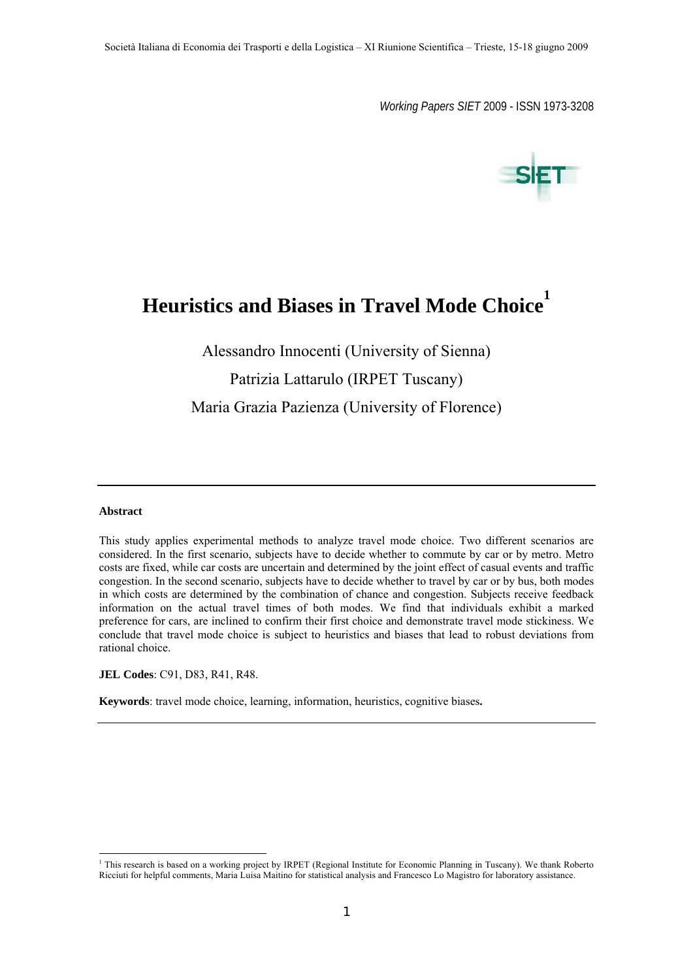*Working Papers SIET* 2009 - ISSN 1973-3208



# **Heuristics and Biases in Travel Mode Choice<sup>1</sup>**

Alessandro Innocenti (University of Sienna) Patrizia Lattarulo (IRPET Tuscany) Maria Grazia Pazienza (University of Florence)

#### **Abstract**

 $\overline{a}$ 

This study applies experimental methods to analyze travel mode choice. Two different scenarios are considered. In the first scenario, subjects have to decide whether to commute by car or by metro. Metro costs are fixed, while car costs are uncertain and determined by the joint effect of casual events and traffic congestion. In the second scenario, subjects have to decide whether to travel by car or by bus, both modes in which costs are determined by the combination of chance and congestion. Subjects receive feedback information on the actual travel times of both modes. We find that individuals exhibit a marked preference for cars, are inclined to confirm their first choice and demonstrate travel mode stickiness. We conclude that travel mode choice is subject to heuristics and biases that lead to robust deviations from rational choice.

**JEL Codes**: C91, D83, R41, R48.

**Keywords**: travel mode choice, learning, information, heuristics, cognitive biases**.** 

<sup>&</sup>lt;sup>1</sup> This research is based on a working project by IRPET (Regional Institute for Economic Planning in Tuscany). We thank Roberto Ricciuti for helpful comments, Maria Luisa Maitino for statistical analysis and Francesco Lo Magistro for laboratory assistance.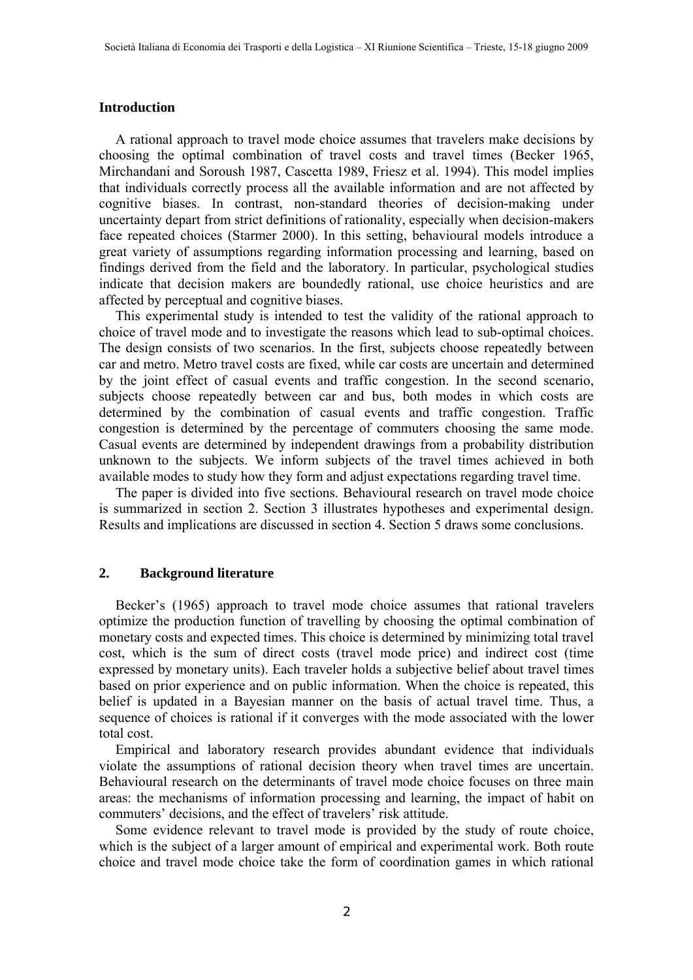## **Introduction**

A rational approach to travel mode choice assumes that travelers make decisions by choosing the optimal combination of travel costs and travel times (Becker 1965, Mirchandani and Soroush 1987, Cascetta 1989, Friesz et al. 1994). This model implies that individuals correctly process all the available information and are not affected by cognitive biases. In contrast, non-standard theories of decision-making under uncertainty depart from strict definitions of rationality, especially when decision-makers face repeated choices (Starmer 2000). In this setting, behavioural models introduce a great variety of assumptions regarding information processing and learning, based on findings derived from the field and the laboratory. In particular, psychological studies indicate that decision makers are boundedly rational, use choice heuristics and are affected by perceptual and cognitive biases.

This experimental study is intended to test the validity of the rational approach to choice of travel mode and to investigate the reasons which lead to sub-optimal choices. The design consists of two scenarios. In the first, subjects choose repeatedly between car and metro. Metro travel costs are fixed, while car costs are uncertain and determined by the joint effect of casual events and traffic congestion. In the second scenario, subjects choose repeatedly between car and bus, both modes in which costs are determined by the combination of casual events and traffic congestion. Traffic congestion is determined by the percentage of commuters choosing the same mode. Casual events are determined by independent drawings from a probability distribution unknown to the subjects. We inform subjects of the travel times achieved in both available modes to study how they form and adjust expectations regarding travel time.

The paper is divided into five sections. Behavioural research on travel mode choice is summarized in section 2. Section 3 illustrates hypotheses and experimental design. Results and implications are discussed in section 4. Section 5 draws some conclusions.

## **2. Background literature**

Becker's (1965) approach to travel mode choice assumes that rational travelers optimize the production function of travelling by choosing the optimal combination of monetary costs and expected times. This choice is determined by minimizing total travel cost, which is the sum of direct costs (travel mode price) and indirect cost (time expressed by monetary units). Each traveler holds a subjective belief about travel times based on prior experience and on public information. When the choice is repeated, this belief is updated in a Bayesian manner on the basis of actual travel time. Thus, a sequence of choices is rational if it converges with the mode associated with the lower total cost.

Empirical and laboratory research provides abundant evidence that individuals violate the assumptions of rational decision theory when travel times are uncertain. Behavioural research on the determinants of travel mode choice focuses on three main areas: the mechanisms of information processing and learning, the impact of habit on commuters' decisions, and the effect of travelers' risk attitude.

Some evidence relevant to travel mode is provided by the study of route choice, which is the subject of a larger amount of empirical and experimental work. Both route choice and travel mode choice take the form of coordination games in which rational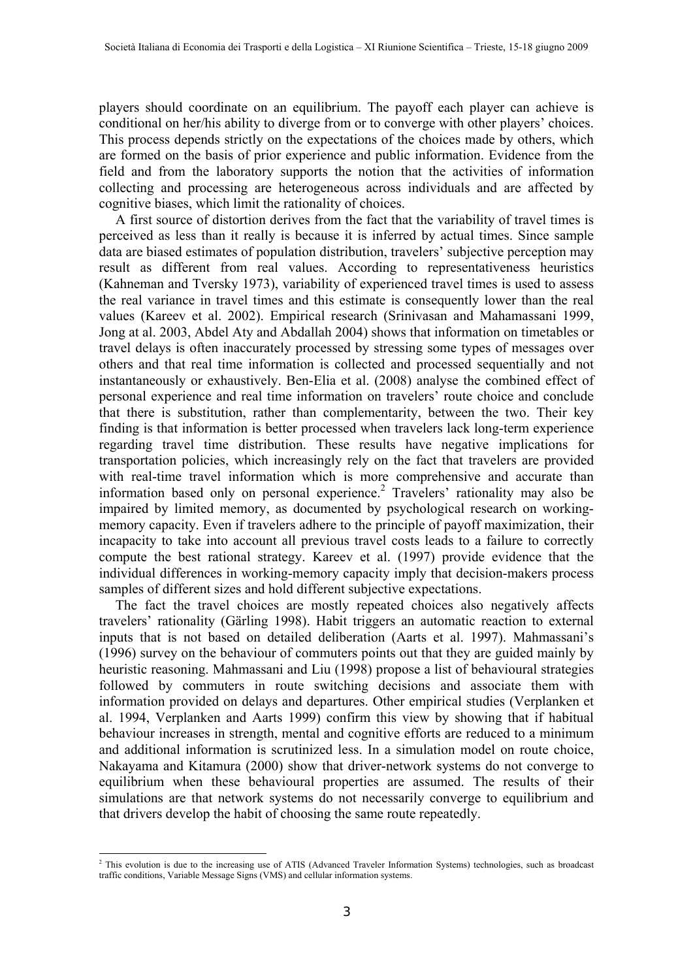players should coordinate on an equilibrium. The payoff each player can achieve is conditional on her/his ability to diverge from or to converge with other players' choices. This process depends strictly on the expectations of the choices made by others, which are formed on the basis of prior experience and public information. Evidence from the field and from the laboratory supports the notion that the activities of information collecting and processing are heterogeneous across individuals and are affected by cognitive biases, which limit the rationality of choices.

A first source of distortion derives from the fact that the variability of travel times is perceived as less than it really is because it is inferred by actual times. Since sample data are biased estimates of population distribution, travelers' subjective perception may result as different from real values. According to representativeness heuristics (Kahneman and Tversky 1973), variability of experienced travel times is used to assess the real variance in travel times and this estimate is consequently lower than the real values (Kareev et al. 2002). Empirical research (Srinivasan and Mahamassani 1999, Jong at al. 2003, Abdel Aty and Abdallah 2004) shows that information on timetables or travel delays is often inaccurately processed by stressing some types of messages over others and that real time information is collected and processed sequentially and not instantaneously or exhaustively. Ben-Elia et al. (2008) analyse the combined effect of personal experience and real time information on travelers' route choice and conclude that there is substitution, rather than complementarity, between the two. Their key finding is that information is better processed when travelers lack long-term experience regarding travel time distribution. These results have negative implications for transportation policies, which increasingly rely on the fact that travelers are provided with real-time travel information which is more comprehensive and accurate than information based only on personal experience.<sup>2</sup> Travelers' rationality may also be impaired by limited memory, as documented by psychological research on workingmemory capacity. Even if travelers adhere to the principle of payoff maximization, their incapacity to take into account all previous travel costs leads to a failure to correctly compute the best rational strategy. Kareev et al. (1997) provide evidence that the individual differences in working-memory capacity imply that decision-makers process samples of different sizes and hold different subjective expectations.

The fact the travel choices are mostly repeated choices also negatively affects travelers' rationality (Gärling 1998). Habit triggers an automatic reaction to external inputs that is not based on detailed deliberation (Aarts et al. 1997). Mahmassani's (1996) survey on the behaviour of commuters points out that they are guided mainly by heuristic reasoning. Mahmassani and Liu (1998) propose a list of behavioural strategies followed by commuters in route switching decisions and associate them with information provided on delays and departures. Other empirical studies (Verplanken et al. 1994, Verplanken and Aarts 1999) confirm this view by showing that if habitual behaviour increases in strength, mental and cognitive efforts are reduced to a minimum and additional information is scrutinized less. In a simulation model on route choice, Nakayama and Kitamura (2000) show that driver-network systems do not converge to equilibrium when these behavioural properties are assumed. The results of their simulations are that network systems do not necessarily converge to equilibrium and that drivers develop the habit of choosing the same route repeatedly.

 $\overline{a}$ 

<sup>&</sup>lt;sup>2</sup> This evolution is due to the increasing use of ATIS (Advanced Traveler Information Systems) technologies, such as broadcast traffic conditions, Variable Message Signs (VMS) and cellular information systems.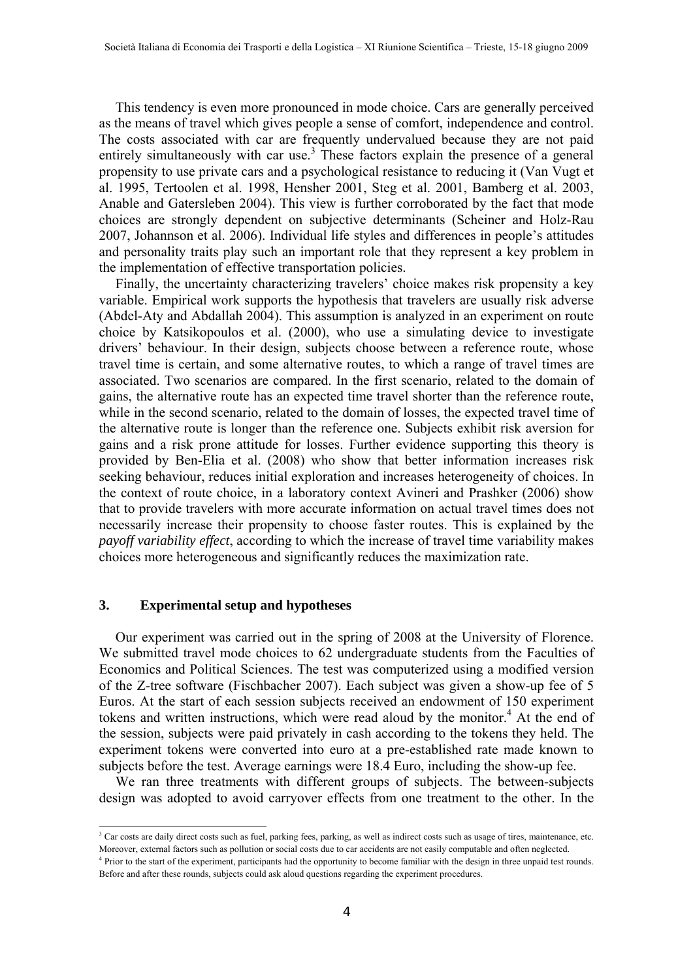This tendency is even more pronounced in mode choice. Cars are generally perceived as the means of travel which gives people a sense of comfort, independence and control. The costs associated with car are frequently undervalued because they are not paid entirely simultaneously with car use.<sup>3</sup> These factors explain the presence of a general propensity to use private cars and a psychological resistance to reducing it (Van Vugt et al. 1995, Tertoolen et al. 1998, Hensher 2001, Steg et al. 2001, Bamberg et al. 2003, Anable and Gatersleben 2004). This view is further corroborated by the fact that mode choices are strongly dependent on subjective determinants (Scheiner and Holz-Rau 2007, Johannson et al. 2006). Individual life styles and differences in people's attitudes and personality traits play such an important role that they represent a key problem in the implementation of effective transportation policies.

Finally, the uncertainty characterizing travelers' choice makes risk propensity a key variable. Empirical work supports the hypothesis that travelers are usually risk adverse (Abdel-Aty and Abdallah 2004). This assumption is analyzed in an experiment on route choice by Katsikopoulos et al. (2000), who use a simulating device to investigate drivers' behaviour. In their design, subjects choose between a reference route, whose travel time is certain, and some alternative routes, to which a range of travel times are associated. Two scenarios are compared. In the first scenario, related to the domain of gains, the alternative route has an expected time travel shorter than the reference route, while in the second scenario, related to the domain of losses, the expected travel time of the alternative route is longer than the reference one. Subjects exhibit risk aversion for gains and a risk prone attitude for losses. Further evidence supporting this theory is provided by Ben-Elia et al. (2008) who show that better information increases risk seeking behaviour, reduces initial exploration and increases heterogeneity of choices. In the context of route choice, in a laboratory context Avineri and Prashker (2006) show that to provide travelers with more accurate information on actual travel times does not necessarily increase their propensity to choose faster routes. This is explained by the *payoff variability effect*, according to which the increase of travel time variability makes choices more heterogeneous and significantly reduces the maximization rate.

## **3. Experimental setup and hypotheses**

 $\overline{a}$ 

Our experiment was carried out in the spring of 2008 at the University of Florence. We submitted travel mode choices to 62 undergraduate students from the Faculties of Economics and Political Sciences. The test was computerized using a modified version of the Z-tree software (Fischbacher 2007). Each subject was given a show-up fee of 5 Euros. At the start of each session subjects received an endowment of 150 experiment tokens and written instructions, which were read aloud by the monitor.<sup>4</sup> At the end of the session, subjects were paid privately in cash according to the tokens they held. The experiment tokens were converted into euro at a pre-established rate made known to subjects before the test. Average earnings were 18.4 Euro, including the show-up fee.

We ran three treatments with different groups of subjects. The between-subjects design was adopted to avoid carryover effects from one treatment to the other. In the

<sup>&</sup>lt;sup>3</sup> Car costs are daily direct costs such as fuel, parking fees, parking, as well as indirect costs such as usage of tires, maintenance, etc. Moreover, external factors such as pollution or social costs due to car accidents are not easily computable and often neglected. 4

<sup>&</sup>lt;sup>4</sup> Prior to the start of the experiment, participants had the opportunity to become familiar with the design in three unpaid test rounds. Before and after these rounds, subjects could ask aloud questions regarding the experiment procedures.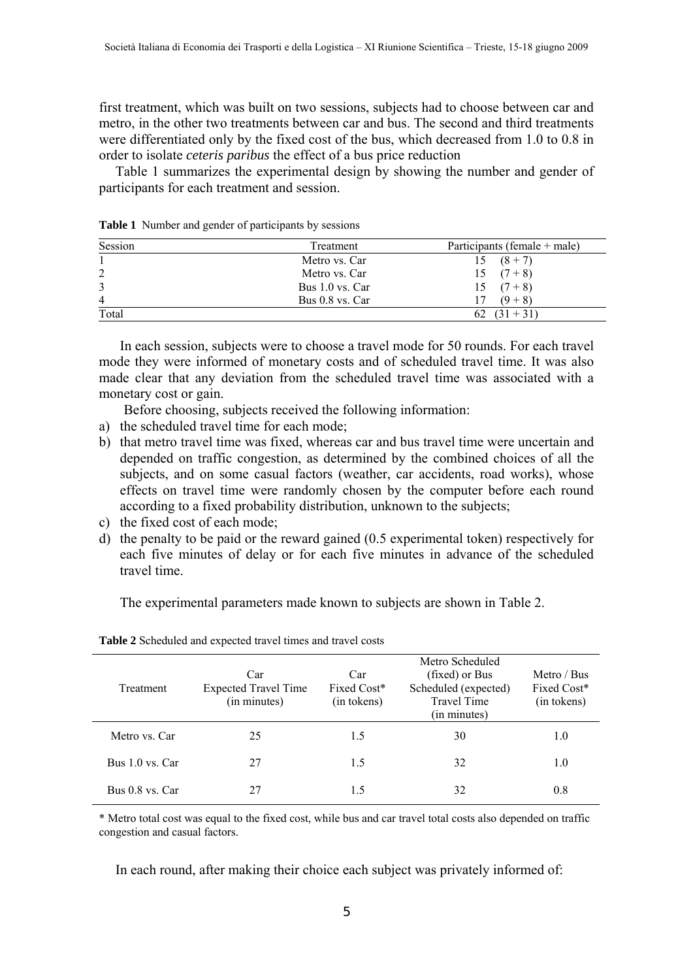first treatment, which was built on two sessions, subjects had to choose between car and metro, in the other two treatments between car and bus. The second and third treatments were differentiated only by the fixed cost of the bus, which decreased from 1.0 to 0.8 in order to isolate *ceteris paribus* the effect of a bus price reduction

Table 1 summarizes the experimental design by showing the number and gender of participants for each treatment and session.

| Session        | Treatment       | Participants (female + male) |
|----------------|-----------------|------------------------------|
|                | Metro vs. Car   | $15(8+7)$                    |
| 2              | Metro vs. Car   | $15(7+8)$                    |
|                | Bus 1.0 vs. Car | $15(7+8)$                    |
| $\overline{4}$ | Bus 0.8 vs. Car | $(9+8)$                      |
| Total          |                 | 62 $(31 + 31)$               |

**Table 1** Number and gender of participants by sessions

In each session, subjects were to choose a travel mode for 50 rounds. For each travel mode they were informed of monetary costs and of scheduled travel time. It was also made clear that any deviation from the scheduled travel time was associated with a monetary cost or gain.

Before choosing, subjects received the following information:

- a) the scheduled travel time for each mode;
- b) that metro travel time was fixed, whereas car and bus travel time were uncertain and depended on traffic congestion, as determined by the combined choices of all the subjects, and on some casual factors (weather, car accidents, road works), whose effects on travel time were randomly chosen by the computer before each round according to a fixed probability distribution, unknown to the subjects;
- c) the fixed cost of each mode;
- d) the penalty to be paid or the reward gained (0.5 experimental token) respectively for each five minutes of delay or for each five minutes in advance of the scheduled travel time.

The experimental parameters made known to subjects are shown in Table 2.

| Treatment       | Car<br><b>Expected Travel Time</b><br>(in minutes) | Car<br>Fixed Cost*<br>(in tokens) | Metro Scheduled<br>(fixed) or Bus<br>Scheduled (expected)<br><b>Travel Time</b><br>(in minutes) | Metro / Bus<br>Fixed Cost*<br>(in tokens) |
|-----------------|----------------------------------------------------|-----------------------------------|-------------------------------------------------------------------------------------------------|-------------------------------------------|
| Metro vs. Car   | 25                                                 | 1.5                               | 30                                                                                              | 1.0                                       |
| Bus 1.0 vs. Car | 27                                                 | 1.5                               | 32                                                                                              | 1.0                                       |
| Bus 0.8 vs. Car | 27                                                 | 1.5                               | 32                                                                                              | 0.8                                       |

**Table 2** Scheduled and expected travel times and travel costs

\* Metro total cost was equal to the fixed cost, while bus and car travel total costs also depended on traffic congestion and casual factors.

In each round, after making their choice each subject was privately informed of: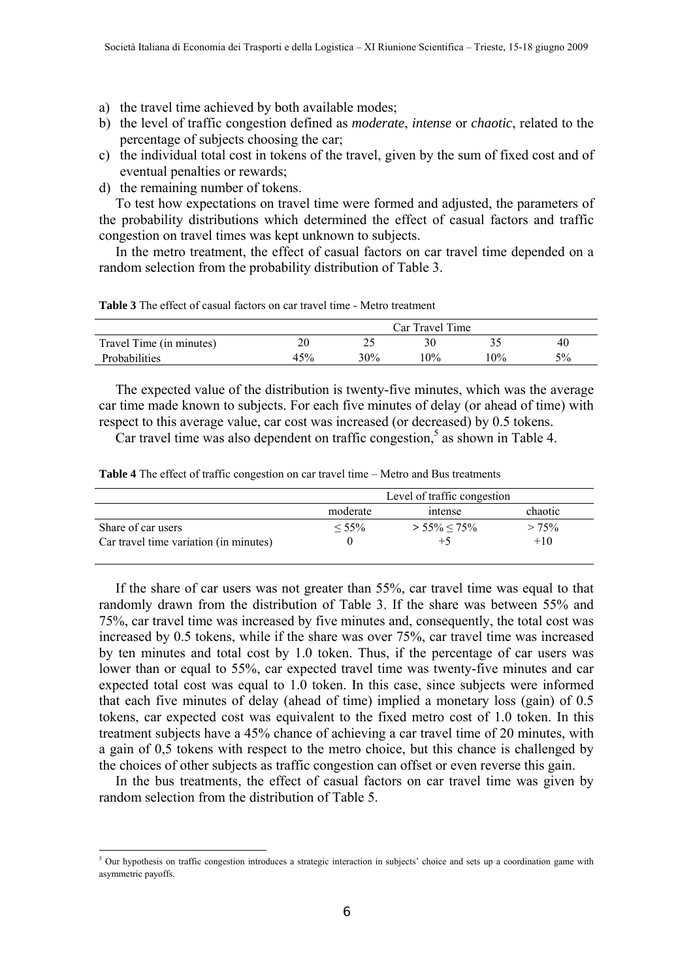- a) the travel time achieved by both available modes;
- b) the level of traffic congestion defined as *moderate*, *intense* or *chaotic*, related to the percentage of subjects choosing the car;
- c) the individual total cost in tokens of the travel, given by the sum of fixed cost and of eventual penalties or rewards;
- d) the remaining number of tokens.

-

To test how expectations on travel time were formed and adjusted, the parameters of the probability distributions which determined the effect of casual factors and traffic congestion on travel times was kept unknown to subjects.

In the metro treatment, the effect of casual factors on car travel time depended on a random selection from the probability distribution of Table 3.

**Table 3** The effect of casual factors on car travel time - Metro treatment

|                          | Car Travel Time |     |        |    |    |
|--------------------------|-----------------|-----|--------|----|----|
| Travel Time (in minutes) | ጎሰ              |     | 30     |    | 40 |
| Probabilities            | 45%             | 30% | $10\%$ | 0% | 5% |

The expected value of the distribution is twenty-five minutes, which was the average car time made known to subjects. For each five minutes of delay (or ahead of time) with respect to this average value, car cost was increased (or decreased) by 0.5 tokens.

Car travel time was also dependent on traffic congestion,<sup>5</sup> as shown in Table 4.

**Table 4** The effect of traffic congestion on car travel time – Metro and Bus treatments

|                                        | Level of traffic congestion |                   |          |
|----------------------------------------|-----------------------------|-------------------|----------|
|                                        | moderate<br>intense         |                   | chaotic  |
| Share of car users                     | $< 55\%$                    | $> 55\% \le 75\%$ | $> 75\%$ |
| Car travel time variation (in minutes) |                             | $+5$              | $+10$    |

If the share of car users was not greater than 55%, car travel time was equal to that randomly drawn from the distribution of Table 3. If the share was between 55% and 75%, car travel time was increased by five minutes and, consequently, the total cost was increased by 0.5 tokens, while if the share was over 75%, car travel time was increased by ten minutes and total cost by 1.0 token. Thus, if the percentage of car users was lower than or equal to 55%, car expected travel time was twenty-five minutes and car expected total cost was equal to 1.0 token. In this case, since subjects were informed that each five minutes of delay (ahead of time) implied a monetary loss (gain) of 0.5 tokens, car expected cost was equivalent to the fixed metro cost of 1.0 token. In this treatment subjects have a 45% chance of achieving a car travel time of 20 minutes, with a gain of 0,5 tokens with respect to the metro choice, but this chance is challenged by the choices of other subjects as traffic congestion can offset or even reverse this gain.

In the bus treatments, the effect of casual factors on car travel time was given by random selection from the distribution of Table 5.

<sup>&</sup>lt;sup>5</sup> Our hypothesis on traffic congestion introduces a strategic interaction in subjects' choice and sets up a coordination game with asymmetric payoffs.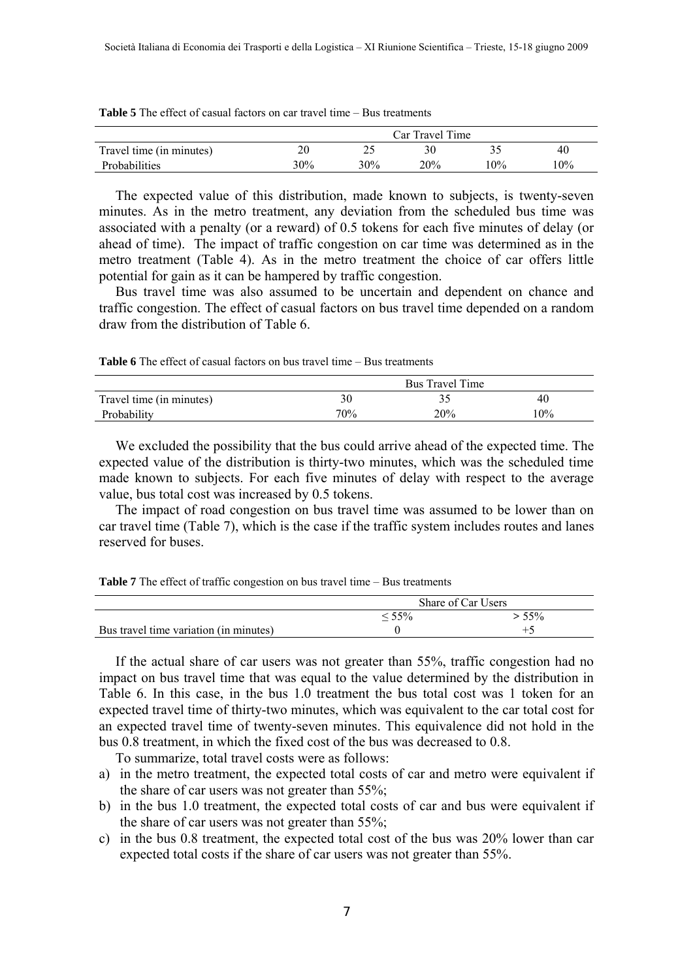|                          |           |     | Car Travel Time |     |     |
|--------------------------|-----------|-----|-----------------|-----|-----|
| Travel time (in minutes) | n n<br>۷J | ∸-  | 30              |     | 40  |
| Probabilities            | 30%       | 30% | 20%             | 10% | 10% |

| <b>Table 5</b> The effect of casual factors on car travel time – Bus treatments |  |
|---------------------------------------------------------------------------------|--|
|---------------------------------------------------------------------------------|--|

The expected value of this distribution, made known to subjects, is twenty-seven minutes. As in the metro treatment, any deviation from the scheduled bus time was associated with a penalty (or a reward) of 0.5 tokens for each five minutes of delay (or ahead of time). The impact of traffic congestion on car time was determined as in the metro treatment (Table 4). As in the metro treatment the choice of car offers little potential for gain as it can be hampered by traffic congestion.

Bus travel time was also assumed to be uncertain and dependent on chance and traffic congestion. The effect of casual factors on bus travel time depended on a random draw from the distribution of Table 6.

**Table 6** The effect of casual factors on bus travel time – Bus treatments

|                          | Bus Travel Time |     |     |
|--------------------------|-----------------|-----|-----|
| Travel time (in minutes) |                 |     | 40  |
| Probability              | 70%             | 20% | 10% |

We excluded the possibility that the bus could arrive ahead of the expected time. The expected value of the distribution is thirty-two minutes, which was the scheduled time made known to subjects. For each five minutes of delay with respect to the average value, bus total cost was increased by 0.5 tokens.

The impact of road congestion on bus travel time was assumed to be lower than on car travel time (Table 7), which is the case if the traffic system includes routes and lanes reserved for buses.

**Table 7** The effect of traffic congestion on bus travel time – Bus treatments

|                                        | Share of Car Users |     |  |
|----------------------------------------|--------------------|-----|--|
|                                        | 55%                | 55% |  |
| Bus travel time variation (in minutes) |                    |     |  |

If the actual share of car users was not greater than 55%, traffic congestion had no impact on bus travel time that was equal to the value determined by the distribution in Table 6. In this case, in the bus 1.0 treatment the bus total cost was 1 token for an expected travel time of thirty-two minutes, which was equivalent to the car total cost for an expected travel time of twenty-seven minutes. This equivalence did not hold in the bus 0.8 treatment, in which the fixed cost of the bus was decreased to 0.8.

To summarize, total travel costs were as follows:

- a) in the metro treatment, the expected total costs of car and metro were equivalent if the share of car users was not greater than 55%;
- b) in the bus 1.0 treatment, the expected total costs of car and bus were equivalent if the share of car users was not greater than 55%;
- c) in the bus 0.8 treatment, the expected total cost of the bus was 20% lower than car expected total costs if the share of car users was not greater than 55%.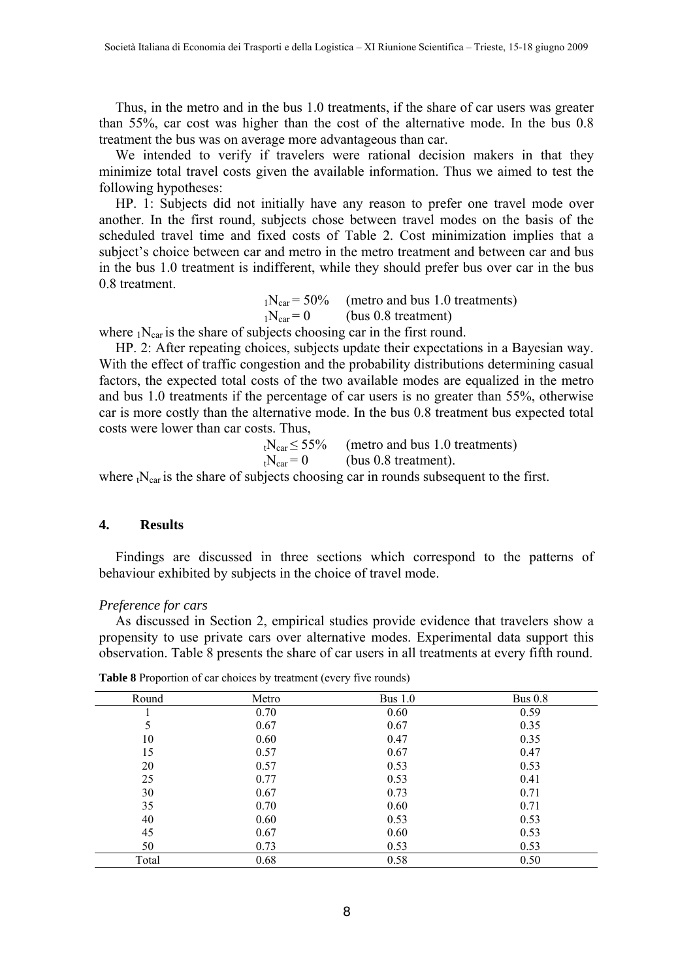Thus, in the metro and in the bus 1.0 treatments, if the share of car users was greater than 55%, car cost was higher than the cost of the alternative mode. In the bus 0.8 treatment the bus was on average more advantageous than car.

We intended to verify if travelers were rational decision makers in that they minimize total travel costs given the available information. Thus we aimed to test the following hypotheses:

HP. 1: Subjects did not initially have any reason to prefer one travel mode over another. In the first round, subjects chose between travel modes on the basis of the scheduled travel time and fixed costs of Table 2. Cost minimization implies that a subject's choice between car and metro in the metro treatment and between car and bus in the bus 1.0 treatment is indifferent, while they should prefer bus over car in the bus 0.8 treatment.

> $1N_{\text{car}} = 50\%$  (metro and bus 1.0 treatments)  $1N_{\text{car}} = 0$  (bus 0.8 treatment)

where  $N_{car}$  is the share of subjects choosing car in the first round.

HP. 2: After repeating choices, subjects update their expectations in a Bayesian way. With the effect of traffic congestion and the probability distributions determining casual factors, the expected total costs of the two available modes are equalized in the metro and bus 1.0 treatments if the percentage of car users is no greater than 55%, otherwise car is more costly than the alternative mode. In the bus 0.8 treatment bus expected total costs were lower than car costs. Thus,

> $t<sub>1</sub>N<sub>car</sub> \le 55%$  (metro and bus 1.0 treatments)  $t<sub>1</sub>N<sub>car</sub> = 0$  (bus 0.8 treatment).

where  $t_{\text{Car}}$  is the share of subjects choosing car in rounds subsequent to the first.

## **4. Results**

Findings are discussed in three sections which correspond to the patterns of behaviour exhibited by subjects in the choice of travel mode.

#### *Preference for cars*

As discussed in Section 2, empirical studies provide evidence that travelers show a propensity to use private cars over alternative modes. Experimental data support this observation. Table 8 presents the share of car users in all treatments at every fifth round.

| Round | Metro | Bus $1.0$ | Bus $0.8$ |
|-------|-------|-----------|-----------|
|       | 0.70  | 0.60      | 0.59      |
| 5     | 0.67  | 0.67      | 0.35      |
| 10    | 0.60  | 0.47      | 0.35      |
| 15    | 0.57  | 0.67      | 0.47      |
| 20    | 0.57  | 0.53      | 0.53      |
| 25    | 0.77  | 0.53      | 0.41      |
| 30    | 0.67  | 0.73      | 0.71      |
| 35    | 0.70  | 0.60      | 0.71      |
| 40    | 0.60  | 0.53      | 0.53      |
| 45    | 0.67  | 0.60      | 0.53      |
| 50    | 0.73  | 0.53      | 0.53      |
| Total | 0.68  | 0.58      | 0.50      |

**Table 8** Proportion of car choices by treatment (every five rounds)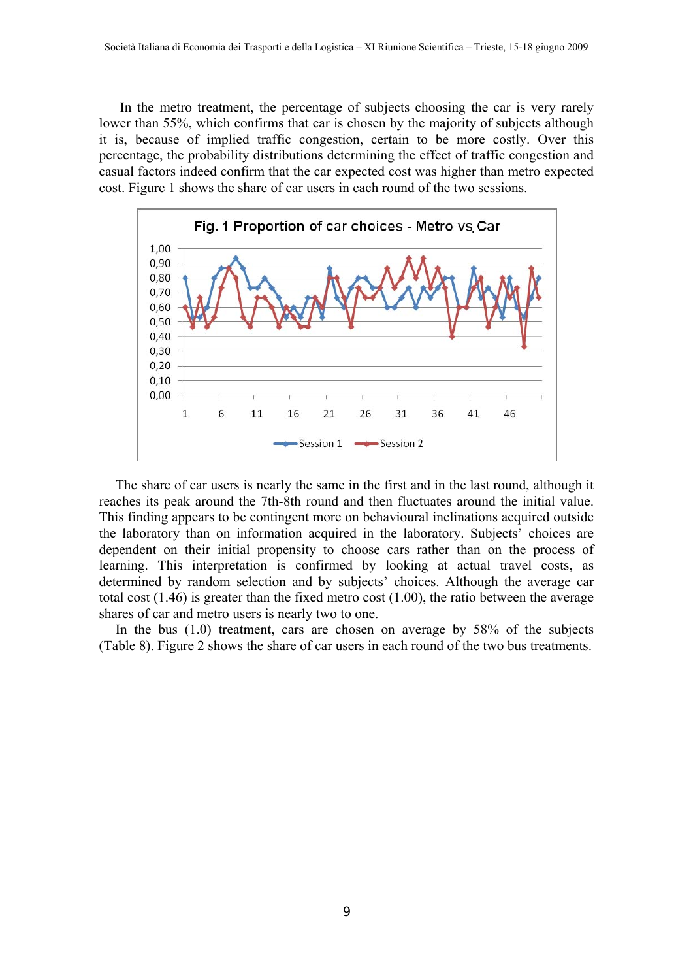In the metro treatment, the percentage of subjects choosing the car is very rarely lower than 55%, which confirms that car is chosen by the majority of subjects although it is, because of implied traffic congestion, certain to be more costly. Over this percentage, the probability distributions determining the effect of traffic congestion and casual factors indeed confirm that the car expected cost was higher than metro expected cost. Figure 1 shows the share of car users in each round of the two sessions.



The share of car users is nearly the same in the first and in the last round, although it reaches its peak around the 7th-8th round and then fluctuates around the initial value. This finding appears to be contingent more on behavioural inclinations acquired outside the laboratory than on information acquired in the laboratory. Subjects' choices are dependent on their initial propensity to choose cars rather than on the process of learning. This interpretation is confirmed by looking at actual travel costs, as determined by random selection and by subjects' choices. Although the average car total cost (1.46) is greater than the fixed metro cost (1.00), the ratio between the average shares of car and metro users is nearly two to one.

In the bus (1.0) treatment, cars are chosen on average by 58% of the subjects (Table 8). Figure 2 shows the share of car users in each round of the two bus treatments.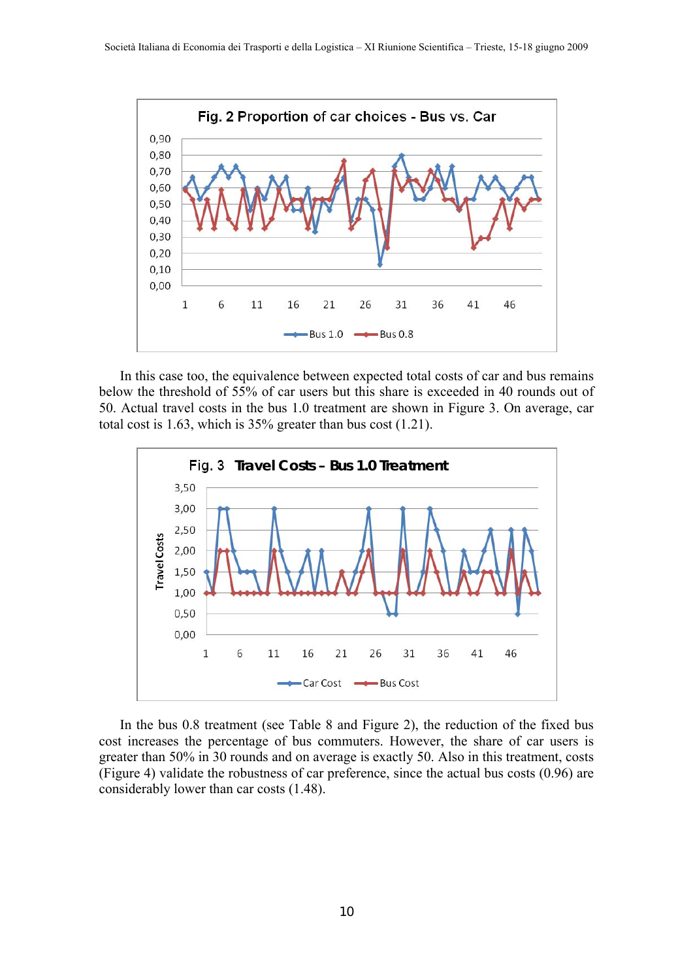

In this case too, the equivalence between expected total costs of car and bus remains below the threshold of 55% of car users but this share is exceeded in 40 rounds out of 50. Actual travel costs in the bus 1.0 treatment are shown in Figure 3. On average, car total cost is 1.63, which is 35% greater than bus cost (1.21).



In the bus 0.8 treatment (see Table 8 and Figure 2), the reduction of the fixed bus cost increases the percentage of bus commuters. However, the share of car users is greater than 50% in 30 rounds and on average is exactly 50. Also in this treatment, costs (Figure 4) validate the robustness of car preference, since the actual bus costs (0.96) are considerably lower than car costs (1.48).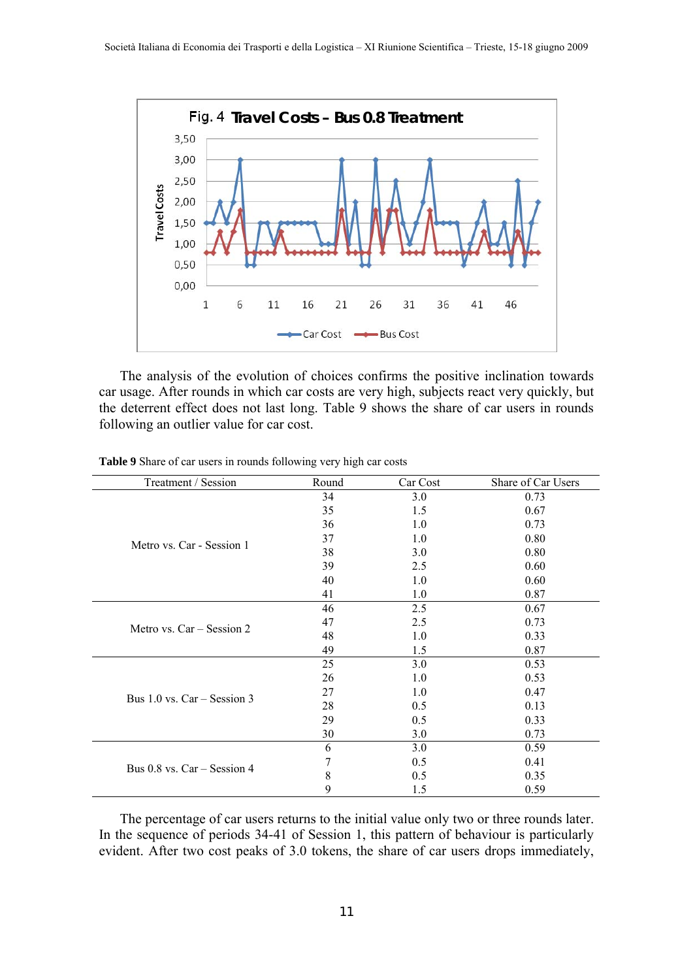

The analysis of the evolution of choices confirms the positive inclination towards car usage. After rounds in which car costs are very high, subjects react very quickly, but the deterrent effect does not last long. Table 9 shows the share of car users in rounds following an outlier value for car cost.

| Treatment / Session             | Round | Car Cost | Share of Car Users |
|---------------------------------|-------|----------|--------------------|
|                                 | 34    | 3.0      | 0.73               |
|                                 | 35    | 1.5      | 0.67               |
|                                 | 36    | 1.0      | 0.73               |
| Metro vs. Car - Session 1       | 37    | 1.0      | 0.80               |
|                                 | 38    | 3.0      | 0.80               |
|                                 | 39    | 2.5      | 0.60               |
|                                 | 40    | 1.0      | 0.60               |
|                                 | 41    | 1.0      | 0.87               |
|                                 | 46    | 2.5      | 0.67               |
| Metro vs. Car – Session 2       | 47    | 2.5      | 0.73               |
|                                 | 48    | 1.0      | 0.33               |
|                                 | 49    | 1.5      | 0.87               |
|                                 | 25    | 3.0      | 0.53               |
|                                 | 26    | 1.0      | 0.53               |
| Bus $1.0$ vs. $Car - Session 3$ | 27    | 1.0      | 0.47               |
|                                 | 28    | 0.5      | 0.13               |
|                                 | 29    | 0.5      | 0.33               |
|                                 | 30    | 3.0      | 0.73               |
|                                 | 6     | 3.0      | 0.59               |
| Bus $0.8$ vs. Car – Session 4   | 7     | 0.5      | 0.41               |
|                                 | 8     | 0.5      | 0.35               |
|                                 | 9     | 1.5      | 0.59               |

**Table 9** Share of car users in rounds following very high car costs

The percentage of car users returns to the initial value only two or three rounds later. In the sequence of periods 34-41 of Session 1, this pattern of behaviour is particularly evident. After two cost peaks of 3.0 tokens, the share of car users drops immediately,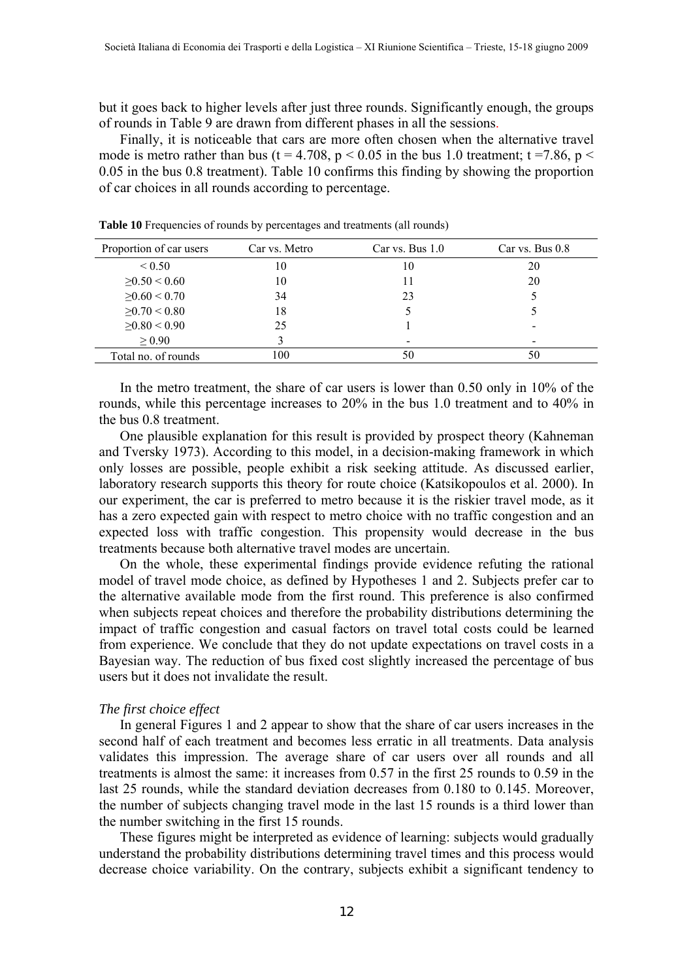but it goes back to higher levels after just three rounds. Significantly enough, the groups of rounds in Table 9 are drawn from different phases in all the sessions.

Finally, it is noticeable that cars are more often chosen when the alternative travel mode is metro rather than bus (t = 4.708, p < 0.05 in the bus 1.0 treatment; t = 7.86, p < 0.05 in the bus 0.8 treatment). Table 10 confirms this finding by showing the proportion of car choices in all rounds according to percentage.

| Proportion of car users | Car vs. Metro | Car vs. Bus $1.0$ | Car vs. Bus $0.8$ |
|-------------------------|---------------|-------------------|-------------------|
| ${}_{0.50}$             | 10            | 10                | 20                |
| $\geq 0.50 \leq 0.60$   | 10            | 11                | 20                |
| $\geq 0.60 \leq 0.70$   | 34            | 23                |                   |
| $\geq 0.70 \leq 0.80$   | 18            |                   |                   |
| $\geq 0.80 \leq 0.90$   | 25            |                   |                   |
| $\geq 0.90$             |               | $\qquad \qquad$   |                   |
| Total no. of rounds     | 100           | 50                | 50                |

**Table 10** Frequencies of rounds by percentages and treatments (all rounds)

In the metro treatment, the share of car users is lower than 0.50 only in 10% of the rounds, while this percentage increases to 20% in the bus 1.0 treatment and to 40% in the bus 0.8 treatment.

One plausible explanation for this result is provided by prospect theory (Kahneman and Tversky 1973). According to this model, in a decision-making framework in which only losses are possible, people exhibit a risk seeking attitude. As discussed earlier, laboratory research supports this theory for route choice (Katsikopoulos et al. 2000). In our experiment, the car is preferred to metro because it is the riskier travel mode, as it has a zero expected gain with respect to metro choice with no traffic congestion and an expected loss with traffic congestion. This propensity would decrease in the bus treatments because both alternative travel modes are uncertain.

On the whole, these experimental findings provide evidence refuting the rational model of travel mode choice, as defined by Hypotheses 1 and 2. Subjects prefer car to the alternative available mode from the first round. This preference is also confirmed when subjects repeat choices and therefore the probability distributions determining the impact of traffic congestion and casual factors on travel total costs could be learned from experience. We conclude that they do not update expectations on travel costs in a Bayesian way. The reduction of bus fixed cost slightly increased the percentage of bus users but it does not invalidate the result.

## *The first choice effect*

In general Figures 1 and 2 appear to show that the share of car users increases in the second half of each treatment and becomes less erratic in all treatments. Data analysis validates this impression. The average share of car users over all rounds and all treatments is almost the same: it increases from 0.57 in the first 25 rounds to 0.59 in the last 25 rounds, while the standard deviation decreases from 0.180 to 0.145. Moreover, the number of subjects changing travel mode in the last 15 rounds is a third lower than the number switching in the first 15 rounds.

These figures might be interpreted as evidence of learning: subjects would gradually understand the probability distributions determining travel times and this process would decrease choice variability. On the contrary, subjects exhibit a significant tendency to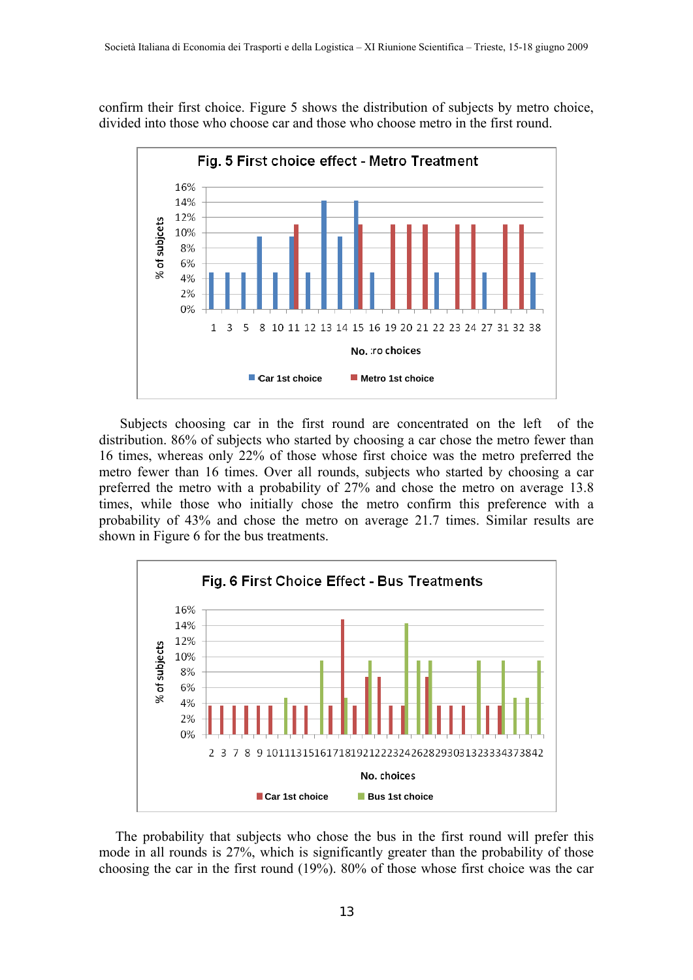confirm their first choice. Figure 5 shows the distribution of subjects by metro choice, divided into those who choose car and those who choose metro in the first round.



Subjects choosing car in the first round are concentrated on the left of the distribution. 86% of subjects who started by choosing a car chose the metro fewer than 16 times, whereas only 22% of those whose first choice was the metro preferred the metro fewer than 16 times. Over all rounds, subjects who started by choosing a car preferred the metro with a probability of 27% and chose the metro on average 13.8 times, while those who initially chose the metro confirm this preference with a probability of 43% and chose the metro on average 21.7 times. Similar results are shown in Figure 6 for the bus treatments.



The probability that subjects who chose the bus in the first round will prefer this mode in all rounds is 27%, which is significantly greater than the probability of those choosing the car in the first round (19%). 80% of those whose first choice was the car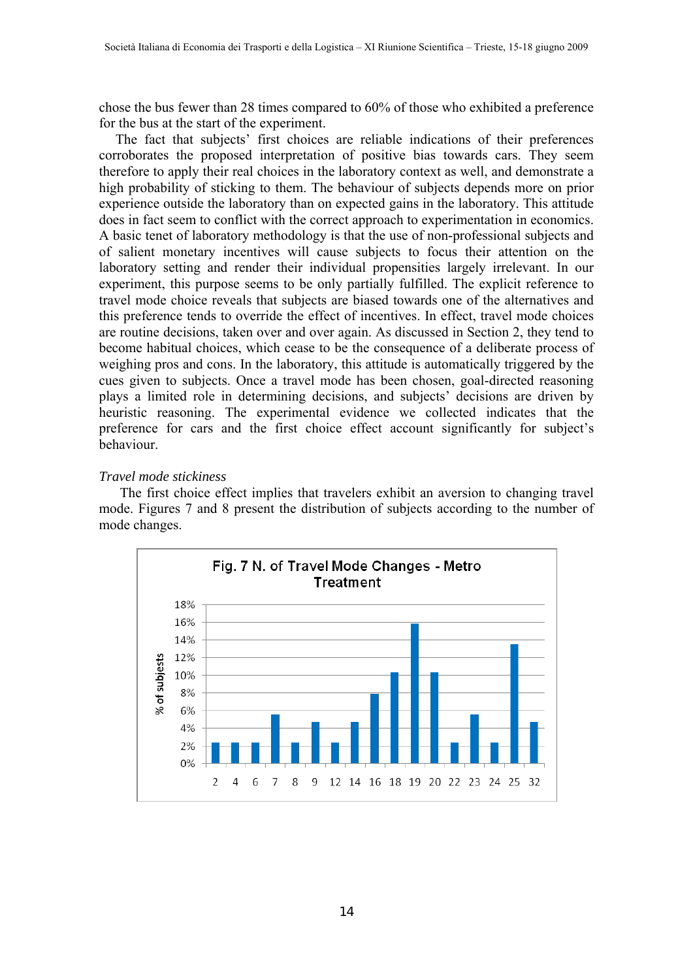chose the bus fewer than 28 times compared to 60% of those who exhibited a preference for the bus at the start of the experiment.

The fact that subjects' first choices are reliable indications of their preferences corroborates the proposed interpretation of positive bias towards cars. They seem therefore to apply their real choices in the laboratory context as well, and demonstrate a high probability of sticking to them. The behaviour of subjects depends more on prior experience outside the laboratory than on expected gains in the laboratory. This attitude does in fact seem to conflict with the correct approach to experimentation in economics. A basic tenet of laboratory methodology is that the use of non-professional subjects and of salient monetary incentives will cause subjects to focus their attention on the laboratory setting and render their individual propensities largely irrelevant. In our experiment, this purpose seems to be only partially fulfilled. The explicit reference to travel mode choice reveals that subjects are biased towards one of the alternatives and this preference tends to override the effect of incentives. In effect, travel mode choices are routine decisions, taken over and over again. As discussed in Section 2, they tend to become habitual choices, which cease to be the consequence of a deliberate process of weighing pros and cons. In the laboratory, this attitude is automatically triggered by the cues given to subjects. Once a travel mode has been chosen, goal-directed reasoning plays a limited role in determining decisions, and subjects' decisions are driven by heuristic reasoning. The experimental evidence we collected indicates that the preference for cars and the first choice effect account significantly for subject's behaviour.

## *Travel mode stickiness*

The first choice effect implies that travelers exhibit an aversion to changing travel mode. Figures 7 and 8 present the distribution of subjects according to the number of mode changes.

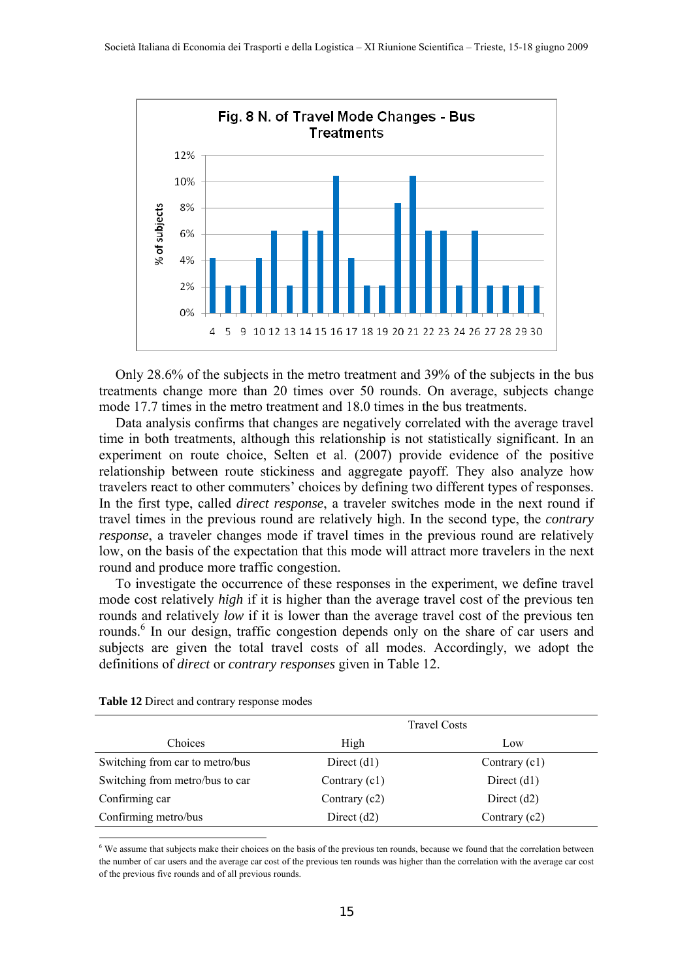

Only 28.6% of the subjects in the metro treatment and 39% of the subjects in the bus treatments change more than 20 times over 50 rounds. On average, subjects change mode 17.7 times in the metro treatment and 18.0 times in the bus treatments.

Data analysis confirms that changes are negatively correlated with the average travel time in both treatments, although this relationship is not statistically significant. In an experiment on route choice, Selten et al. (2007) provide evidence of the positive relationship between route stickiness and aggregate payoff. They also analyze how travelers react to other commuters' choices by defining two different types of responses. In the first type, called *direct response*, a traveler switches mode in the next round if travel times in the previous round are relatively high. In the second type, the *contrary response*, a traveler changes mode if travel times in the previous round are relatively low, on the basis of the expectation that this mode will attract more travelers in the next round and produce more traffic congestion.

To investigate the occurrence of these responses in the experiment, we define travel mode cost relatively *high* if it is higher than the average travel cost of the previous ten rounds and relatively *low* if it is lower than the average travel cost of the previous ten rounds.<sup>6</sup> In our design, traffic congestion depends only on the share of car users and subjects are given the total travel costs of all modes. Accordingly, we adopt the definitions of *direct* or *contrary responses* given in Table 12.

|                                 | <b>Travel Costs</b> |                 |
|---------------------------------|---------------------|-----------------|
| Choices                         | High                | Low             |
| Switching from car to metro/bus | Direct $(d1)$       | Contrary (c1)   |
| Switching from metro/bus to car | Contrary $(c1)$     | Direct $(d1)$   |
| Confirming car                  | Contrary $(c2)$     | Direct $(d2)$   |
| Confirming metro/bus            | Direct $(d2)$       | Contrary $(c2)$ |

**Table 12** Direct and contrary response modes

 $\overline{a}$ 

 $6$  We assume that subjects make their choices on the basis of the previous ten rounds, because we found that the correlation between the number of car users and the average car cost of the previous ten rounds was higher than the correlation with the average car cost of the previous five rounds and of all previous rounds.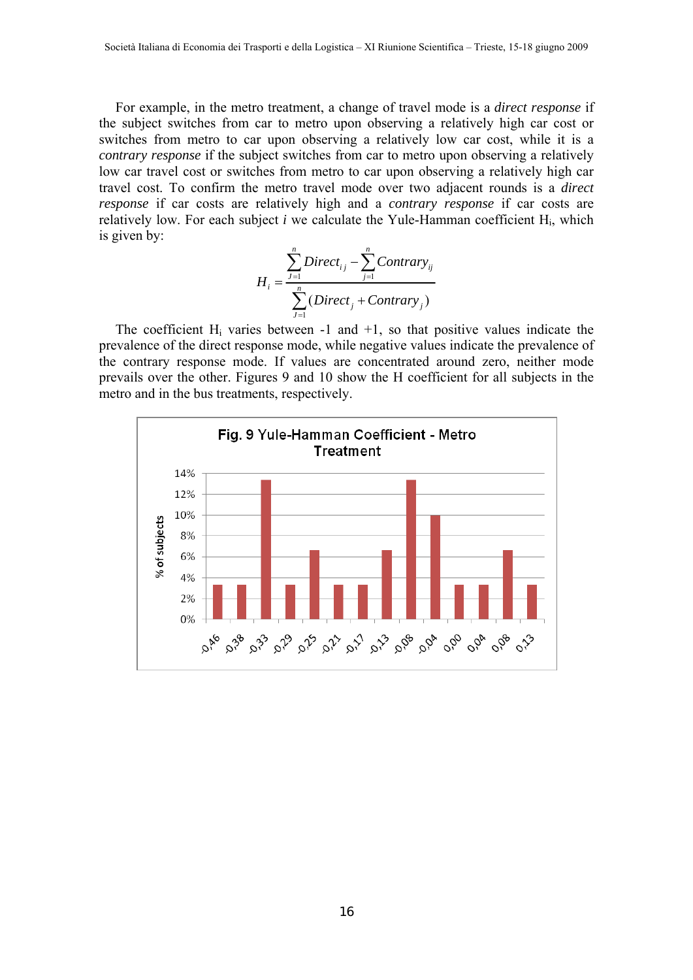For example, in the metro treatment, a change of travel mode is a *direct response* if the subject switches from car to metro upon observing a relatively high car cost or switches from metro to car upon observing a relatively low car cost, while it is a *contrary response* if the subject switches from car to metro upon observing a relatively low car travel cost or switches from metro to car upon observing a relatively high car travel cost. To confirm the metro travel mode over two adjacent rounds is a *direct response* if car costs are relatively high and a *contrary response* if car costs are relatively low. For each subject *i* we calculate the Yule-Hamman coefficient Hi, which is given by:

$$
H_i = \frac{\sum_{j=1}^{n} Direct_{ij} - \sum_{j=1}^{n}Contrary_{ij}}{\sum_{j=1}^{n} (Direct_j + Contrary_j)}
$$

The coefficient  $H_i$  varies between  $-1$  and  $+1$ , so that positive values indicate the prevalence of the direct response mode, while negative values indicate the prevalence of the contrary response mode. If values are concentrated around zero, neither mode prevails over the other. Figures 9 and 10 show the H coefficient for all subjects in the metro and in the bus treatments, respectively.

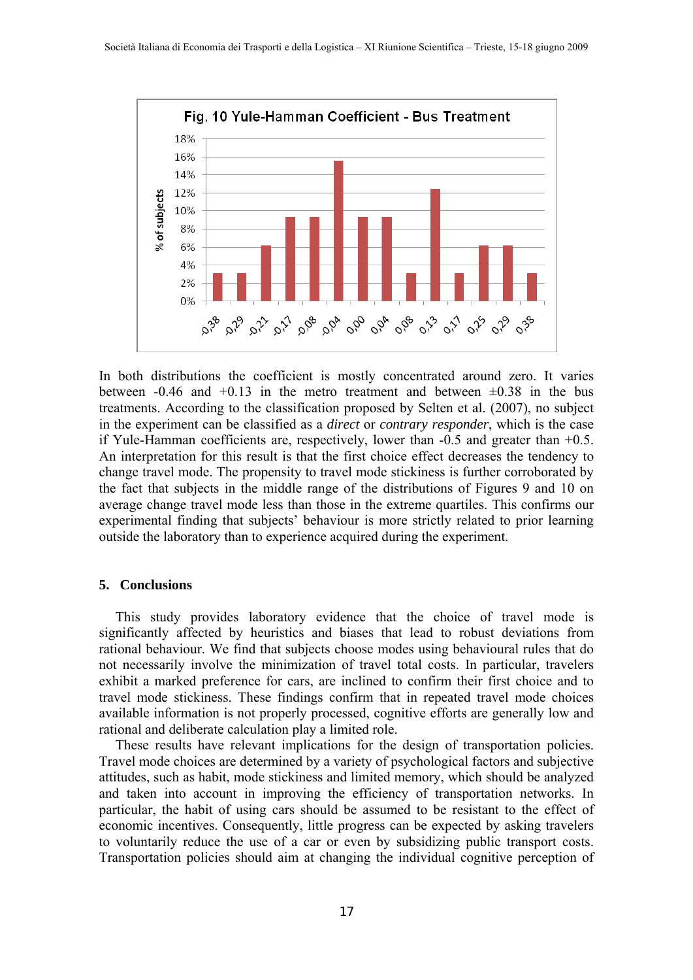

In both distributions the coefficient is mostly concentrated around zero. It varies between  $-0.46$  and  $+0.13$  in the metro treatment and between  $\pm 0.38$  in the bus treatments. According to the classification proposed by Selten et al. (2007), no subject in the experiment can be classified as a *direct* or *contrary responder*, which is the case if Yule-Hamman coefficients are, respectively, lower than -0.5 and greater than +0.5. An interpretation for this result is that the first choice effect decreases the tendency to change travel mode. The propensity to travel mode stickiness is further corroborated by the fact that subjects in the middle range of the distributions of Figures 9 and 10 on average change travel mode less than those in the extreme quartiles. This confirms our experimental finding that subjects' behaviour is more strictly related to prior learning outside the laboratory than to experience acquired during the experiment.

## **5. Conclusions**

This study provides laboratory evidence that the choice of travel mode is significantly affected by heuristics and biases that lead to robust deviations from rational behaviour. We find that subjects choose modes using behavioural rules that do not necessarily involve the minimization of travel total costs. In particular, travelers exhibit a marked preference for cars, are inclined to confirm their first choice and to travel mode stickiness. These findings confirm that in repeated travel mode choices available information is not properly processed, cognitive efforts are generally low and rational and deliberate calculation play a limited role.

These results have relevant implications for the design of transportation policies. Travel mode choices are determined by a variety of psychological factors and subjective attitudes, such as habit, mode stickiness and limited memory, which should be analyzed and taken into account in improving the efficiency of transportation networks. In particular, the habit of using cars should be assumed to be resistant to the effect of economic incentives. Consequently, little progress can be expected by asking travelers to voluntarily reduce the use of a car or even by subsidizing public transport costs. Transportation policies should aim at changing the individual cognitive perception of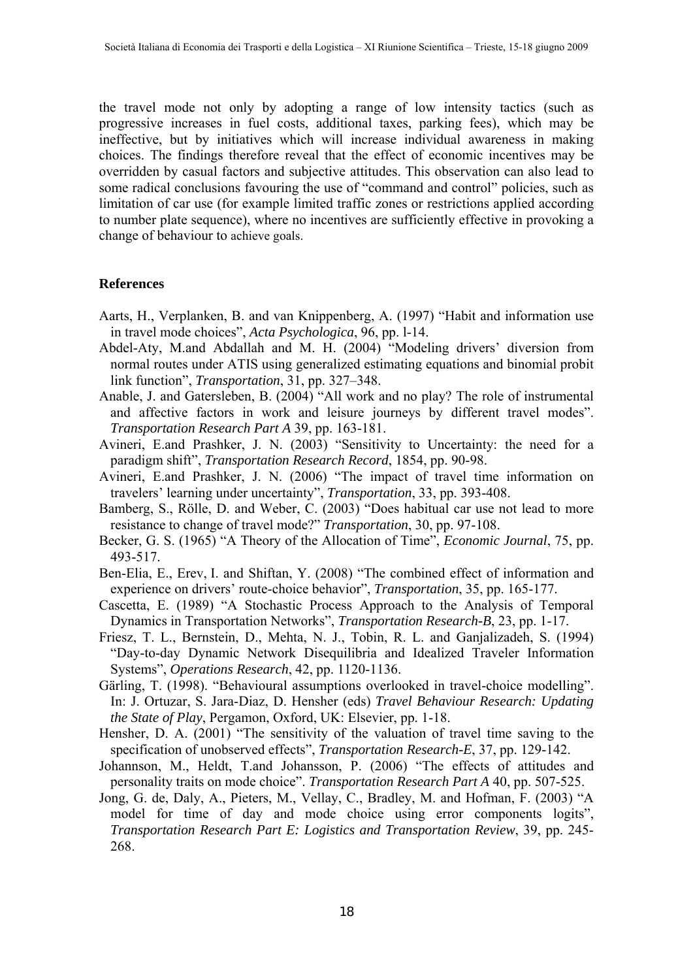the travel mode not only by adopting a range of low intensity tactics (such as progressive increases in fuel costs, additional taxes, parking fees), which may be ineffective, but by initiatives which will increase individual awareness in making choices. The findings therefore reveal that the effect of economic incentives may be overridden by casual factors and subjective attitudes. This observation can also lead to some radical conclusions favouring the use of "command and control" policies, such as limitation of car use (for example limited traffic zones or restrictions applied according to number plate sequence), where no incentives are sufficiently effective in provoking a change of behaviour to achieve goals.

## **References**

- Aarts, H., Verplanken, B. and van Knippenberg, A. (1997) "Habit and information use in travel mode choices", *Acta Psychologica*, 96, pp. l-14.
- Abdel-Aty, M.and Abdallah and M. H. (2004) "Modeling drivers' diversion from normal routes under ATIS using generalized estimating equations and binomial probit link function", *Transportation*, 31, pp. 327–348.
- Anable, J. and Gatersleben, B. (2004) "All work and no play? The role of instrumental and affective factors in work and leisure journeys by different travel modes". *Transportation Research Part A* 39, pp. 163-181.
- Avineri, E.and Prashker, J. N. (2003) "Sensitivity to Uncertainty: the need for a paradigm shift", *Transportation Research Record*, 1854, pp. 90-98.
- Avineri, E.and Prashker, J. N. (2006) "The impact of travel time information on travelers' learning under uncertainty", *Transportation*, 33, pp. 393-408.
- Bamberg, S., Rölle, D. and Weber, C. (2003) "Does habitual car use not lead to more resistance to change of travel mode?" *Transportation*, 30, pp. 97-108.
- Becker, G. S. (1965) "A Theory of the Allocation of Time", *Economic Journal*, 75, pp. 493-517.
- Ben-Elia, E., Erev, I. and Shiftan, Y. (2008) "The combined effect of information and experience on drivers' route-choice behavior", *Transportation*, 35, pp. 165-177.
- Cascetta, E. (1989) "A Stochastic Process Approach to the Analysis of Temporal Dynamics in Transportation Networks", *Transportation Research-B*, 23, pp. 1-17.
- Friesz, T. L., Bernstein, D., Mehta, N. J., Tobin, R. L. and Ganjalizadeh, S. (1994) "Day-to-day Dynamic Network Disequilibria and Idealized Traveler Information Systems", *Operations Research*, 42, pp. 1120-1136.
- Gärling, T. (1998). "Behavioural assumptions overlooked in travel-choice modelling". In: J. Ortuzar, S. Jara-Diaz, D. Hensher (eds) *Travel Behaviour Research: Updating the State of Play*, Pergamon, Oxford, UK: Elsevier, pp. 1-18.
- Hensher, D. A. (2001) "The sensitivity of the valuation of travel time saving to the specification of unobserved effects", *Transportation Research-E*, 37, pp. 129-142.
- Johannson, M., Heldt, T.and Johansson, P. (2006) "The effects of attitudes and personality traits on mode choice". *Transportation Research Part A* 40, pp. 507-525.
- Jong, G. de, Daly, A., Pieters, M., Vellay, C., Bradley, M. and Hofman, F. (2003) "A model for time of day and mode choice using error components logits", *Transportation Research Part E: Logistics and Transportation Review*, 39, pp. 245- 268.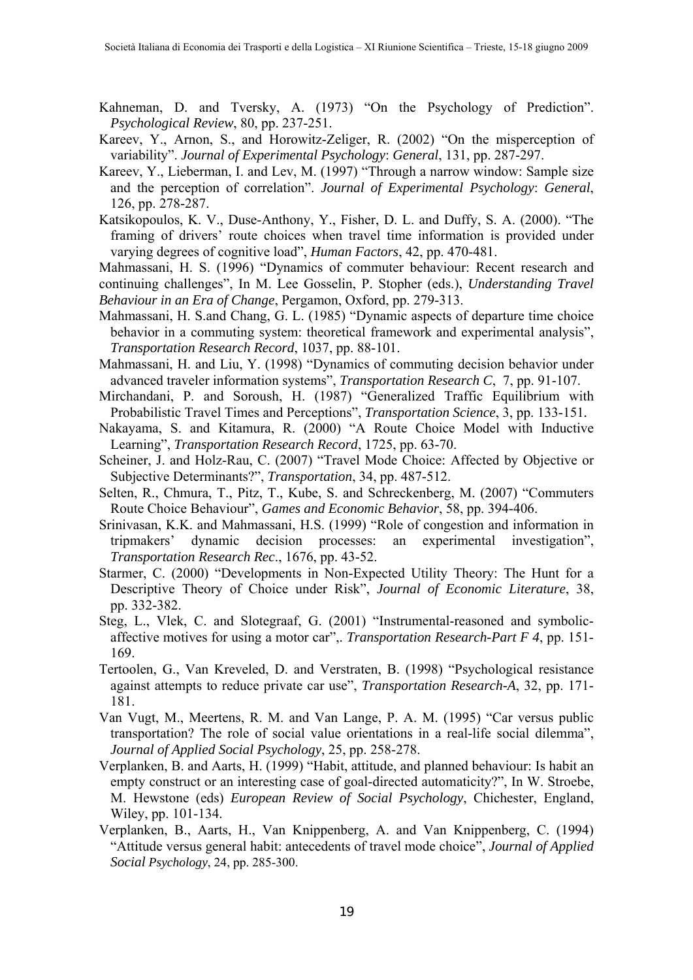- Kahneman, D. and Tversky, A. (1973) "On the Psychology of Prediction". *Psychological Review*, 80, pp. 237-251.
- Kareev, Y., Arnon, S., and Horowitz-Zeliger, R. (2002) "On the misperception of variability". *Journal of Experimental Psychology*: *General*, 131, pp. 287-297.
- Kareev, Y., Lieberman, I. and Lev, M. (1997) "Through a narrow window: Sample size and the perception of correlation". *Journal of Experimental Psychology*: *General*, 126, pp. 278-287.
- Katsikopoulos, K. V., Duse-Anthony, Y., Fisher, D. L. and Duffy, S. A. (2000). "The framing of drivers' route choices when travel time information is provided under varying degrees of cognitive load", *Human Factors*, 42, pp. 470-481.

Mahmassani, H. S. (1996) "Dynamics of commuter behaviour: Recent research and continuing challenges", In M. Lee Gosselin, P. Stopher (eds.), *Understanding Travel Behaviour in an Era of Change*, Pergamon, Oxford, pp. 279-313.

- Mahmassani, H. S.and Chang, G. L. (1985) "Dynamic aspects of departure time choice behavior in a commuting system: theoretical framework and experimental analysis", *Transportation Research Record*, 1037, pp. 88-101.
- Mahmassani, H. and Liu, Y. (1998) "Dynamics of commuting decision behavior under advanced traveler information systems", *Transportation Research C*, 7, pp. 91-107.
- Mirchandani, P. and Soroush, H. (1987) "Generalized Traffic Equilibrium with Probabilistic Travel Times and Perceptions", *Transportation Science*, 3, pp. 133-151*.*
- Nakayama, S. and Kitamura, R. (2000) "A Route Choice Model with Inductive Learning", *Transportation Research Record*, 1725, pp. 63-70.
- Scheiner, J. and Holz-Rau, C. (2007) "Travel Mode Choice: Affected by Objective or Subjective Determinants?", *Transportation*, 34, pp. 487-512.
- Selten, R., Chmura, T., Pitz, T., Kube, S. and Schreckenberg, M. (2007) "Commuters Route Choice Behaviour", *Games and Economic Behavior*, 58, pp. 394-406.
- Srinivasan, K.K. and Mahmassani, H.S. (1999) "Role of congestion and information in tripmakers' dynamic decision processes: an experimental investigation", *Transportation Research Rec*., 1676, pp. 43-52.
- Starmer, C. (2000) "Developments in Non-Expected Utility Theory: The Hunt for a Descriptive Theory of Choice under Risk", *Journal of Economic Literature*, 38, pp. 332-382.
- Steg, L., Vlek, C. and Slotegraaf, G. (2001) "Instrumental-reasoned and symbolicaffective motives for using a motor car",. *Transportation Research-Part F 4*, pp. 151- 169.
- Tertoolen, G., Van Kreveled, D. and Verstraten, B. (1998) "Psychological resistance against attempts to reduce private car use", *Transportation Research-A*, 32, pp. 171- 181.
- Van Vugt, M., Meertens, R. M. and Van Lange, P. A. M. (1995) "Car versus public transportation? The role of social value orientations in a real-life social dilemma", *Journal of Applied Social Psychology*, 25, pp. 258-278.
- Verplanken, B. and Aarts, H. (1999) "Habit, attitude, and planned behaviour: Is habit an empty construct or an interesting case of goal-directed automaticity?", In W. Stroebe, M. Hewstone (eds) *European Review of Social Psychology*, Chichester, England, Wiley, pp. 101-134.
- Verplanken, B., Aarts, H., Van Knippenberg, A. and Van Knippenberg, C. (1994) "Attitude versus general habit: antecedents of travel mode choice", *Journal of Applied Social Psychology*, 24, pp. 285-300.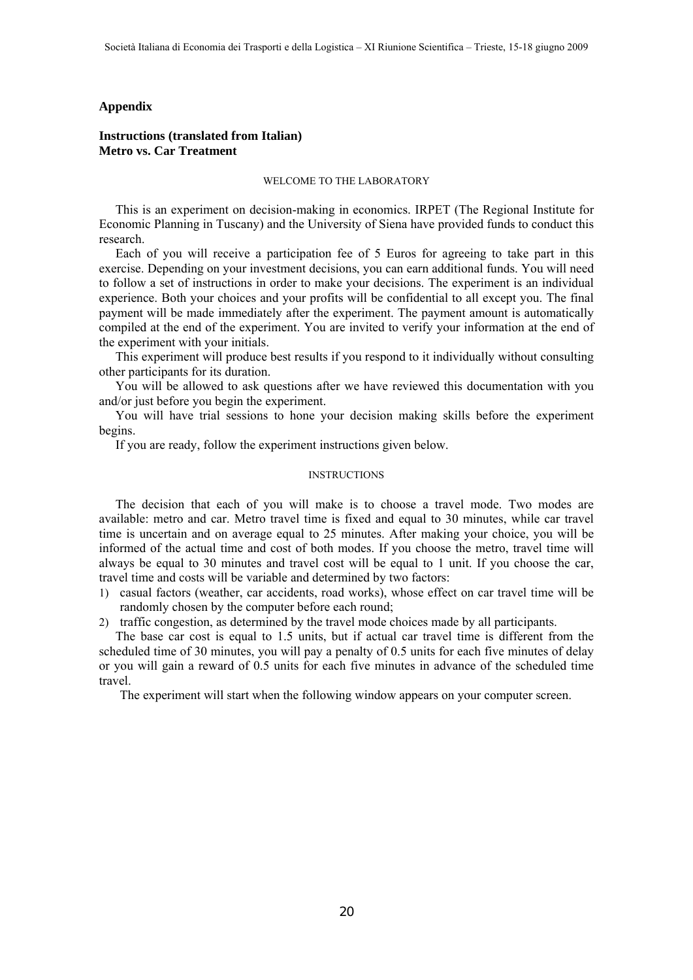#### **Appendix**

## **Instructions (translated from Italian) Metro vs. Car Treatment**

#### WELCOME TO THE LABORATORY

This is an experiment on decision-making in economics. IRPET (The Regional Institute for Economic Planning in Tuscany) and the University of Siena have provided funds to conduct this research.

Each of you will receive a participation fee of 5 Euros for agreeing to take part in this exercise. Depending on your investment decisions, you can earn additional funds. You will need to follow a set of instructions in order to make your decisions. The experiment is an individual experience. Both your choices and your profits will be confidential to all except you. The final payment will be made immediately after the experiment. The payment amount is automatically compiled at the end of the experiment. You are invited to verify your information at the end of the experiment with your initials.

This experiment will produce best results if you respond to it individually without consulting other participants for its duration.

You will be allowed to ask questions after we have reviewed this documentation with you and/or just before you begin the experiment.

You will have trial sessions to hone your decision making skills before the experiment begins.

If you are ready, follow the experiment instructions given below.

#### **INSTRUCTIONS**

The decision that each of you will make is to choose a travel mode. Two modes are available: metro and car. Metro travel time is fixed and equal to 30 minutes, while car travel time is uncertain and on average equal to 25 minutes. After making your choice, you will be informed of the actual time and cost of both modes. If you choose the metro, travel time will always be equal to 30 minutes and travel cost will be equal to 1 unit. If you choose the car, travel time and costs will be variable and determined by two factors:

- 1) casual factors (weather, car accidents, road works), whose effect on car travel time will be randomly chosen by the computer before each round;
- 2) traffic congestion, as determined by the travel mode choices made by all participants.

The base car cost is equal to 1.5 units, but if actual car travel time is different from the scheduled time of 30 minutes, you will pay a penalty of 0.5 units for each five minutes of delay or you will gain a reward of 0.5 units for each five minutes in advance of the scheduled time travel.

The experiment will start when the following window appears on your computer screen.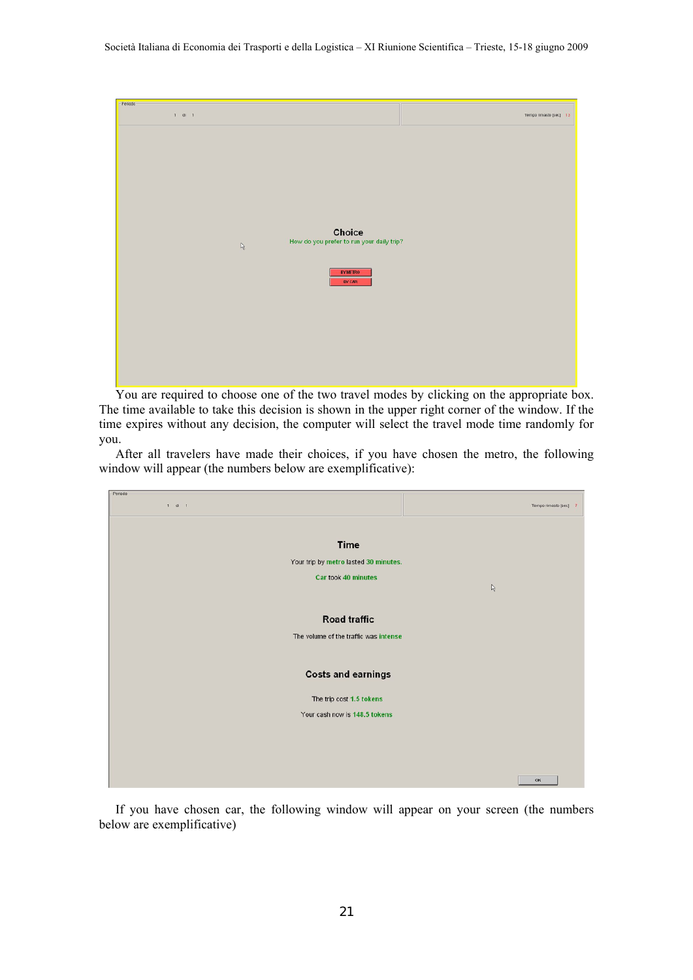

You are required to choose one of the two travel modes by clicking on the appropriate box. The time available to take this decision is shown in the upper right corner of the window. If the time expires without any decision, the computer will select the travel mode time randomly for you.

After all travelers have made their choices, if you have chosen the metro, the following window will appear (the numbers below are exemplificative):

| Periodo                               |                       |
|---------------------------------------|-----------------------|
| $1$ di $1$                            | Tempo rimasto [sec] 7 |
|                                       |                       |
| <b>Time</b>                           |                       |
| Your trip by metro lasted 30 minutes. |                       |
| Car took 40 minutes                   |                       |
|                                       | $\mathbb{Q}$          |
| <b>Road traffic</b>                   |                       |
|                                       |                       |
| The volume of the traffic was intense |                       |
| <b>Costs and earnings</b>             |                       |
|                                       |                       |
| The trip cost 1.5 tokens              |                       |
| Your cash now is 148.5 tokens         |                       |
|                                       |                       |
|                                       |                       |
|                                       |                       |
|                                       | OK                    |

If you have chosen car, the following window will appear on your screen (the numbers below are exemplificative)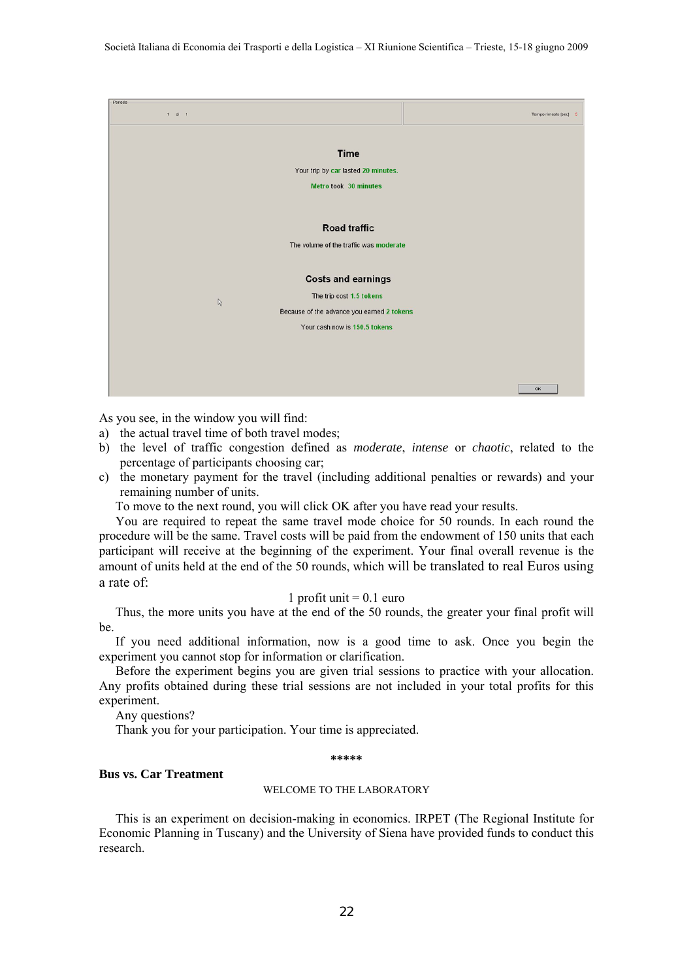

As you see, in the window you will find:

- a) the actual travel time of both travel modes;
- b) the level of traffic congestion defined as *moderate*, *intense* or *chaotic*, related to the percentage of participants choosing car;
- c) the monetary payment for the travel (including additional penalties or rewards) and your remaining number of units.

To move to the next round, you will click OK after you have read your results.

You are required to repeat the same travel mode choice for 50 rounds. In each round the procedure will be the same. Travel costs will be paid from the endowment of 150 units that each participant will receive at the beginning of the experiment. Your final overall revenue is the amount of units held at the end of the 50 rounds, which will be translated to real Euros using a rate of:

#### 1 profit unit  $= 0.1$  euro

Thus, the more units you have at the end of the 50 rounds, the greater your final profit will be.

If you need additional information, now is a good time to ask. Once you begin the experiment you cannot stop for information or clarification.

Before the experiment begins you are given trial sessions to practice with your allocation. Any profits obtained during these trial sessions are not included in your total profits for this experiment.

Any questions?

Thank you for your participation. Your time is appreciated.

**\*\*\*\*\*** 

## **Bus vs. Car Treatment**

#### WELCOME TO THE LABORATORY

This is an experiment on decision-making in economics. IRPET (The Regional Institute for Economic Planning in Tuscany) and the University of Siena have provided funds to conduct this research.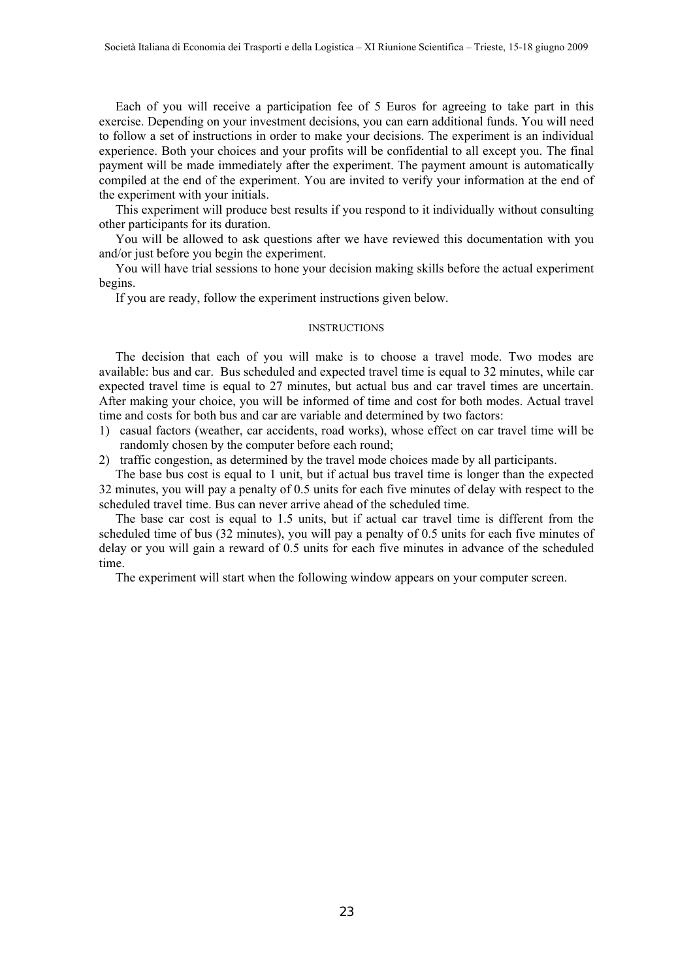Each of you will receive a participation fee of 5 Euros for agreeing to take part in this exercise. Depending on your investment decisions, you can earn additional funds. You will need to follow a set of instructions in order to make your decisions. The experiment is an individual experience. Both your choices and your profits will be confidential to all except you. The final payment will be made immediately after the experiment. The payment amount is automatically compiled at the end of the experiment. You are invited to verify your information at the end of the experiment with your initials.

This experiment will produce best results if you respond to it individually without consulting other participants for its duration.

You will be allowed to ask questions after we have reviewed this documentation with you and/or just before you begin the experiment.

You will have trial sessions to hone your decision making skills before the actual experiment begins.

If you are ready, follow the experiment instructions given below.

#### **INSTRUCTIONS**

The decision that each of you will make is to choose a travel mode. Two modes are available: bus and car. Bus scheduled and expected travel time is equal to 32 minutes, while car expected travel time is equal to 27 minutes, but actual bus and car travel times are uncertain. After making your choice, you will be informed of time and cost for both modes. Actual travel time and costs for both bus and car are variable and determined by two factors:

- 1) casual factors (weather, car accidents, road works), whose effect on car travel time will be randomly chosen by the computer before each round;
- 2) traffic congestion, as determined by the travel mode choices made by all participants.

The base bus cost is equal to 1 unit, but if actual bus travel time is longer than the expected 32 minutes, you will pay a penalty of 0.5 units for each five minutes of delay with respect to the scheduled travel time. Bus can never arrive ahead of the scheduled time.

The base car cost is equal to 1.5 units, but if actual car travel time is different from the scheduled time of bus (32 minutes), you will pay a penalty of 0.5 units for each five minutes of delay or you will gain a reward of 0.5 units for each five minutes in advance of the scheduled time.

The experiment will start when the following window appears on your computer screen.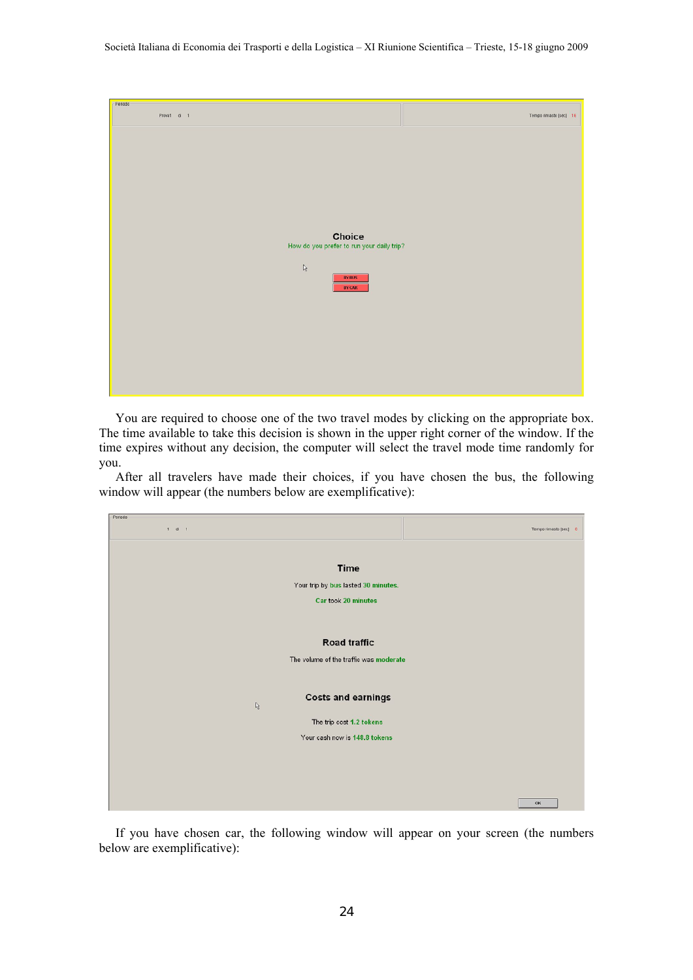| Periodo |             |                                                            |                        |
|---------|-------------|------------------------------------------------------------|------------------------|
|         | Provat di 1 |                                                            | Tempo rimasto [sec] 16 |
|         |             |                                                            |                        |
|         |             |                                                            |                        |
|         |             |                                                            |                        |
|         |             |                                                            |                        |
|         |             |                                                            |                        |
|         |             |                                                            |                        |
|         |             |                                                            |                        |
|         |             |                                                            |                        |
|         |             |                                                            |                        |
|         |             |                                                            |                        |
|         |             |                                                            |                        |
|         |             | <b>Choice</b><br>How do you prefer to run your daily trip? |                        |
|         |             |                                                            |                        |
|         |             |                                                            |                        |
|         |             | $\mathbb{Q}$                                               |                        |
|         |             | <b>BYBUS</b>                                               |                        |
|         |             | <b>BY CAR</b>                                              |                        |
|         |             |                                                            |                        |
|         |             |                                                            |                        |
|         |             |                                                            |                        |
|         |             |                                                            |                        |
|         |             |                                                            |                        |
|         |             |                                                            |                        |
|         |             |                                                            |                        |
|         |             |                                                            |                        |
|         |             |                                                            |                        |

You are required to choose one of the two travel modes by clicking on the appropriate box. The time available to take this decision is shown in the upper right corner of the window. If the time expires without any decision, the computer will select the travel mode time randomly for you.

After all travelers have made their choices, if you have chosen the bus, the following window will appear (the numbers below are exemplificative):

| Periodo |            |                                        |                       |
|---------|------------|----------------------------------------|-----------------------|
|         | $1$ di $1$ |                                        | Tempo rimasto (sec) 8 |
|         |            |                                        |                       |
|         |            | <b>Time</b>                            |                       |
|         |            | Your trip by bus lasted 30 minutes.    |                       |
|         |            | Car took 20 minutes                    |                       |
|         |            |                                        |                       |
|         |            | <b>Road traffic</b>                    |                       |
|         |            |                                        |                       |
|         |            | The volume of the traffic was moderate |                       |
|         |            |                                        |                       |
|         |            | <b>Costs and earnings</b>              |                       |
|         |            | r.                                     |                       |
|         |            | The trip cost 1.2 tokens               |                       |
|         |            | Your cash now is 148.8 tokens          |                       |
|         |            |                                        |                       |
|         |            |                                        |                       |
|         |            |                                        |                       |
|         |            |                                        |                       |
|         |            |                                        | OK                    |

If you have chosen car, the following window will appear on your screen (the numbers below are exemplificative):